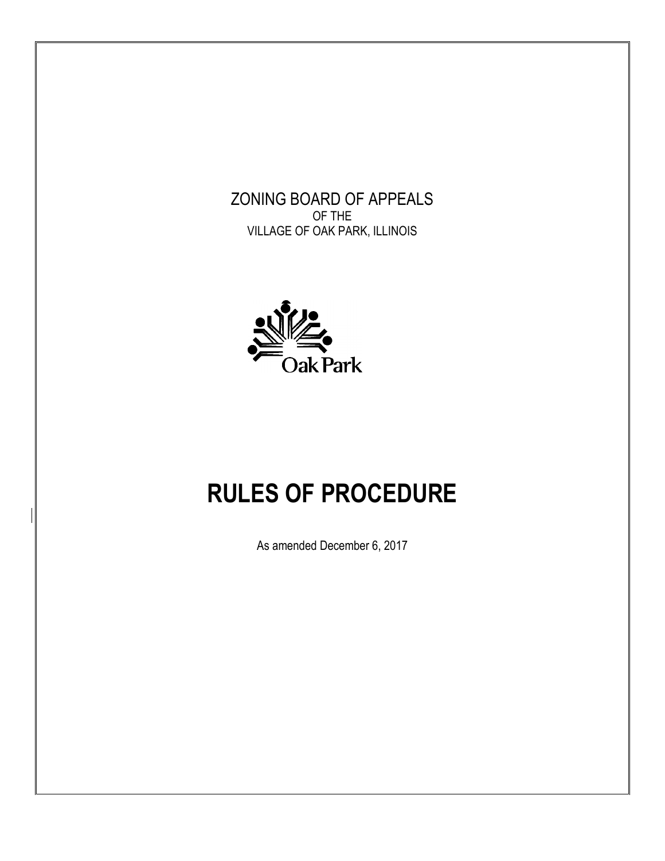# ZONING BOARD OF APPEALS OF THE VILLAGE OF OAK PARK, ILLINOIS



# **RULES OF PROCEDURE**

As amended December 6, 2017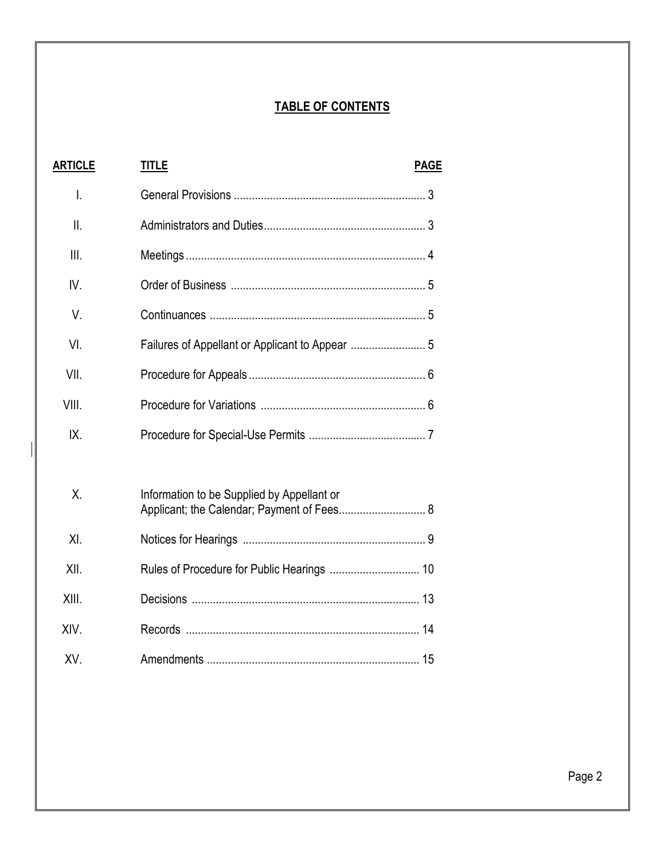# **TABLE OF CONTENTS**

| <b>ARTICLE</b> | <b>TITLE</b>                                                                             | <b>PAGE</b> |
|----------------|------------------------------------------------------------------------------------------|-------------|
| Ι.             |                                                                                          |             |
| II.            |                                                                                          |             |
| III.           |                                                                                          |             |
| IV.            |                                                                                          |             |
| V.             |                                                                                          |             |
| VI.            |                                                                                          |             |
| VII.           |                                                                                          |             |
| VIII.          |                                                                                          |             |
| IX.            |                                                                                          |             |
|                |                                                                                          |             |
| Χ.             | Information to be Supplied by Appellant or<br>Applicant; the Calendar; Payment of Fees 8 |             |
| XL             |                                                                                          |             |
| XII.           |                                                                                          |             |
| XIII.          |                                                                                          |             |
| XIV.           |                                                                                          |             |
| XV.            |                                                                                          |             |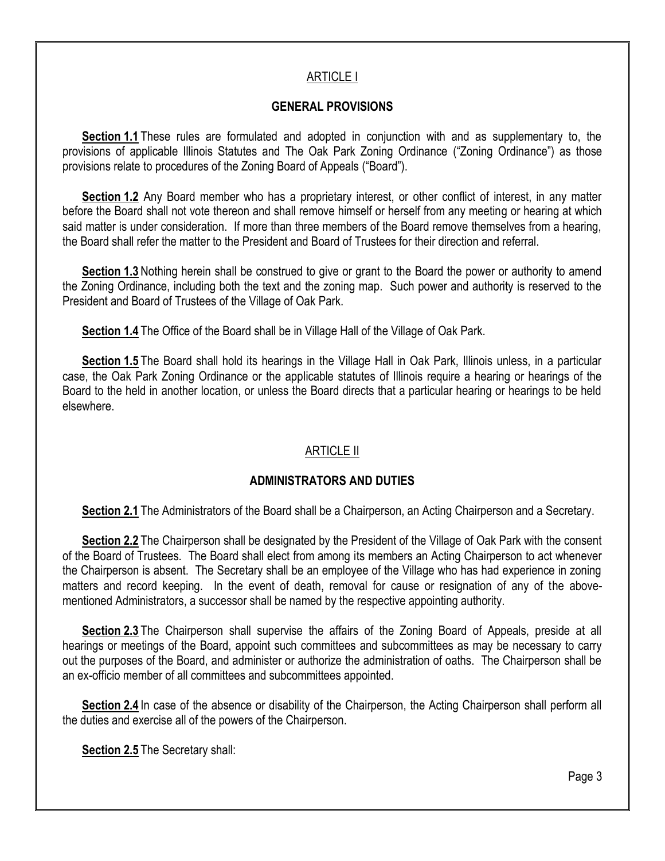## ARTICLE I

## **GENERAL PROVISIONS**

**Section 1.1** These rules are formulated and adopted in conjunction with and as supplementary to, the provisions of applicable Illinois Statutes and The Oak Park Zoning Ordinance ("Zoning Ordinance") as those provisions relate to procedures of the Zoning Board of Appeals ("Board").

**Section 1.2** Any Board member who has a proprietary interest, or other conflict of interest, in any matter before the Board shall not vote thereon and shall remove himself or herself from any meeting or hearing at which said matter is under consideration. If more than three members of the Board remove themselves from a hearing, the Board shall refer the matter to the President and Board of Trustees for their direction and referral.

**Section 1.3** Nothing herein shall be construed to give or grant to the Board the power or authority to amend the Zoning Ordinance, including both the text and the zoning map. Such power and authority is reserved to the President and Board of Trustees of the Village of Oak Park.

**Section 1.4** The Office of the Board shall be in Village Hall of the Village of Oak Park.

**Section 1.5** The Board shall hold its hearings in the Village Hall in Oak Park, Illinois unless, in a particular case, the Oak Park Zoning Ordinance or the applicable statutes of Illinois require a hearing or hearings of the Board to the held in another location, or unless the Board directs that a particular hearing or hearings to be held elsewhere.

## ARTICLE II

## **ADMINISTRATORS AND DUTIES**

**Section 2.1** The Administrators of the Board shall be a Chairperson, an Acting Chairperson and a Secretary.

**Section 2.2** The Chairperson shall be designated by the President of the Village of Oak Park with the consent of the Board of Trustees. The Board shall elect from among its members an Acting Chairperson to act whenever the Chairperson is absent. The Secretary shall be an employee of the Village who has had experience in zoning matters and record keeping. In the event of death, removal for cause or resignation of any of the abovementioned Administrators, a successor shall be named by the respective appointing authority.

**Section 2.3** The Chairperson shall supervise the affairs of the Zoning Board of Appeals, preside at all hearings or meetings of the Board, appoint such committees and subcommittees as may be necessary to carry out the purposes of the Board, and administer or authorize the administration of oaths. The Chairperson shall be an ex-officio member of all committees and subcommittees appointed.

**Section 2.4** In case of the absence or disability of the Chairperson, the Acting Chairperson shall perform all the duties and exercise all of the powers of the Chairperson.

**Section 2.5** The Secretary shall: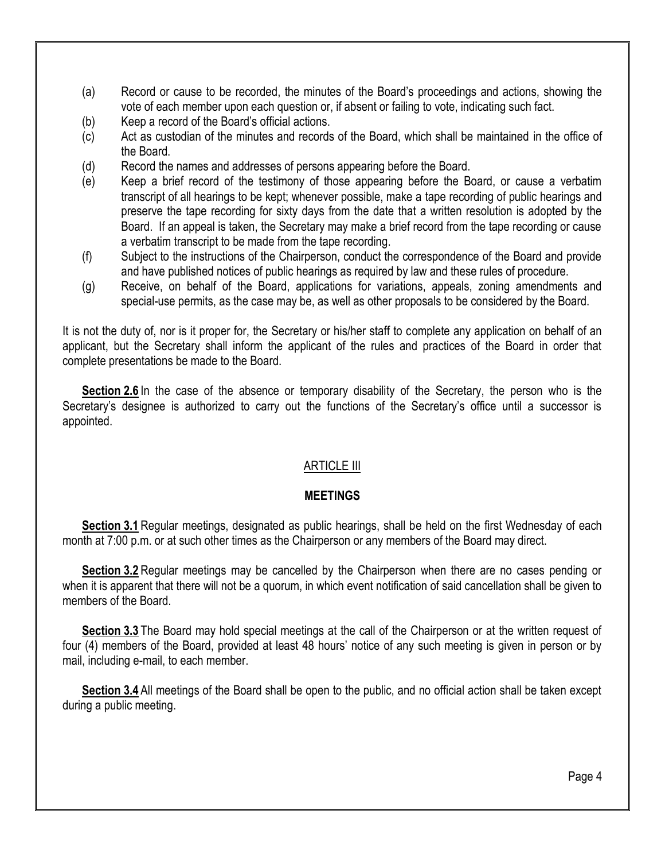- (a) Record or cause to be recorded, the minutes of the Board's proceedings and actions, showing the vote of each member upon each question or, if absent or failing to vote, indicating such fact.
- (b) Keep a record of the Board's official actions.
- (c) Act as custodian of the minutes and records of the Board, which shall be maintained in the office of the Board.
- (d) Record the names and addresses of persons appearing before the Board.
- (e) Keep a brief record of the testimony of those appearing before the Board, or cause a verbatim transcript of all hearings to be kept; whenever possible, make a tape recording of public hearings and preserve the tape recording for sixty days from the date that a written resolution is adopted by the Board. If an appeal is taken, the Secretary may make a brief record from the tape recording or cause a verbatim transcript to be made from the tape recording.
- (f) Subject to the instructions of the Chairperson, conduct the correspondence of the Board and provide and have published notices of public hearings as required by law and these rules of procedure.
- (g) Receive, on behalf of the Board, applications for variations, appeals, zoning amendments and special-use permits, as the case may be, as well as other proposals to be considered by the Board.

It is not the duty of, nor is it proper for, the Secretary or his/her staff to complete any application on behalf of an applicant, but the Secretary shall inform the applicant of the rules and practices of the Board in order that complete presentations be made to the Board.

**Section 2.6** In the case of the absence or temporary disability of the Secretary, the person who is the Secretary's designee is authorized to carry out the functions of the Secretary's office until a successor is appointed.

## ARTICLE III

## **MEETINGS**

**Section 3.1** Regular meetings, designated as public hearings, shall be held on the first Wednesday of each month at 7:00 p.m. or at such other times as the Chairperson or any members of the Board may direct.

**Section 3.2** Regular meetings may be cancelled by the Chairperson when there are no cases pending or when it is apparent that there will not be a quorum, in which event notification of said cancellation shall be given to members of the Board.

**Section 3.3** The Board may hold special meetings at the call of the Chairperson or at the written request of four (4) members of the Board, provided at least 48 hours' notice of any such meeting is given in person or by mail, including e-mail, to each member.

**Section 3.4** All meetings of the Board shall be open to the public, and no official action shall be taken except during a public meeting.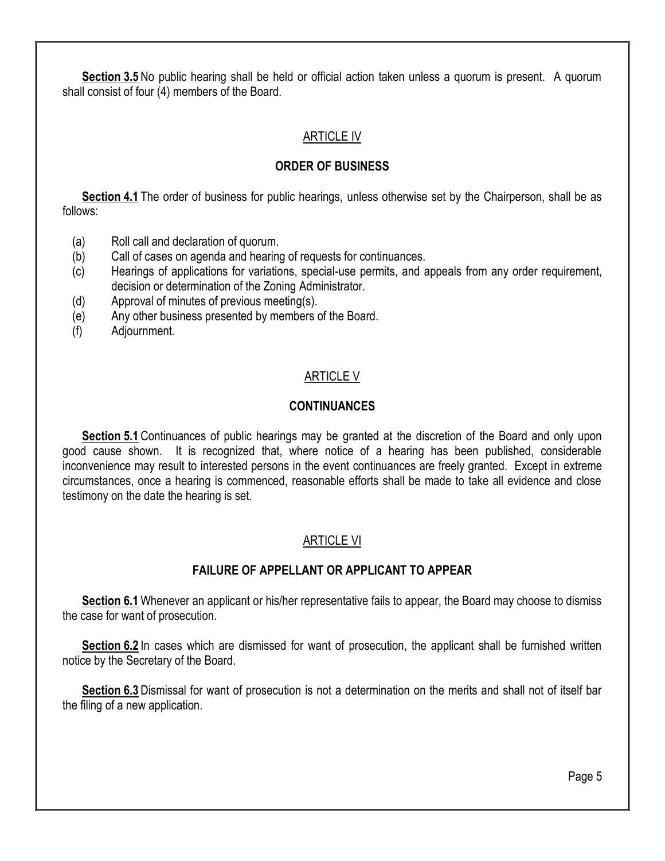**Section 3.5** No public hearing shall be held or official action taken unless a quorum is present. A quorum shall consist of four (4) members of the Board.

## ARTICLE IV

## **ORDER OF BUSINESS**

**Section 4.1** The order of business for public hearings, unless otherwise set by the Chairperson, shall be as follows:

- (a) Roll call and declaration of quorum.
- (b) Call of cases on agenda and hearing of requests for continuances.
- (c) Hearings of applications for variations, special-use permits, and appeals from any order requirement, decision or determination of the Zoning Administrator.
- (d) Approval of minutes of previous meeting(s).
- (e) Any other business presented by members of the Board.
- (f) Adjournment.

## ARTICLE V

#### **CONTINUANCES**

**Section 5.1** Continuances of public hearings may be granted at the discretion of the Board and only upon good cause shown. It is recognized that, where notice of a hearing has been published, considerable inconvenience may result to interested persons in the event continuances are freely granted. Except in extreme circumstances, once a hearing is commenced, reasonable efforts shall be made to take all evidence and close testimony on the date the hearing is set.

## ARTICLE VI

## **FAILURE OF APPELLANT OR APPLICANT TO APPEAR**

**Section 6.1** Whenever an applicant or his/her representative fails to appear, the Board may choose to dismiss the case for want of prosecution.

**Section 6.2** In cases which are dismissed for want of prosecution, the applicant shall be furnished written notice by the Secretary of the Board.

**Section 6.3** Dismissal for want of prosecution is not a determination on the merits and shall not of itself bar the filing of a new application.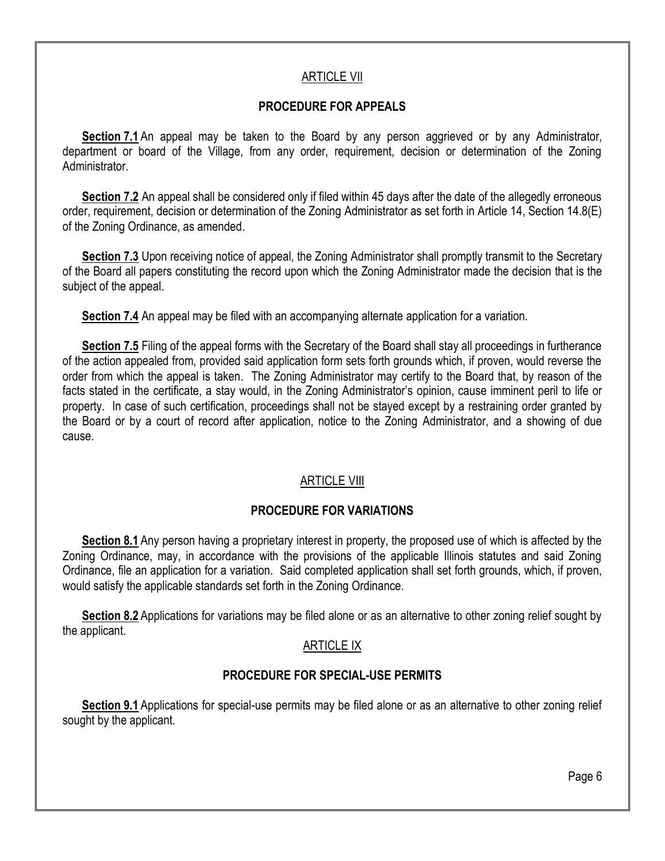## ARTICLE VII

## **PROCEDURE FOR APPEALS**

**Section 7.1** An appeal may be taken to the Board by any person aggrieved or by any Administrator, department or board of the Village, from any order, requirement, decision or determination of the Zoning Administrator.

**Section 7.2** An appeal shall be considered only if filed within 45 days after the date of the allegedly erroneous order, requirement, decision or determination of the Zoning Administrator as set forth in Article 14, Section 14.8(E) of the Zoning Ordinance, as amended.

**Section 7.3** Upon receiving notice of appeal, the Zoning Administrator shall promptly transmit to the Secretary of the Board all papers constituting the record upon which the Zoning Administrator made the decision that is the subject of the appeal.

**Section 7.4** An appeal may be filed with an accompanying alternate application for a variation.

**Section 7.5** Filing of the appeal forms with the Secretary of the Board shall stay all proceedings in furtherance of the action appealed from, provided said application form sets forth grounds which, if proven, would reverse the order from which the appeal is taken. The Zoning Administrator may certify to the Board that, by reason of the facts stated in the certificate, a stay would, in the Zoning Administrator's opinion, cause imminent peril to life or property. In case of such certification, proceedings shall not be stayed except by a restraining order granted by the Board or by a court of record after application, notice to the Zoning Administrator, and a showing of due cause.

## ARTICLE VIII

## **PROCEDURE FOR VARIATIONS**

**Section 8.1** Any person having a proprietary interest in property, the proposed use of which is affected by the Zoning Ordinance, may, in accordance with the provisions of the applicable Illinois statutes and said Zoning Ordinance, file an application for a variation. Said completed application shall set forth grounds, which, if proven, would satisfy the applicable standards set forth in the Zoning Ordinance.

**Section 8.2** Applications for variations may be filed alone or as an alternative to other zoning relief sought by the applicant.

## ARTICLE IX

## **PROCEDURE FOR SPECIAL-USE PERMITS**

**Section 9.1** Applications for special-use permits may be filed alone or as an alternative to other zoning relief sought by the applicant.

Page 6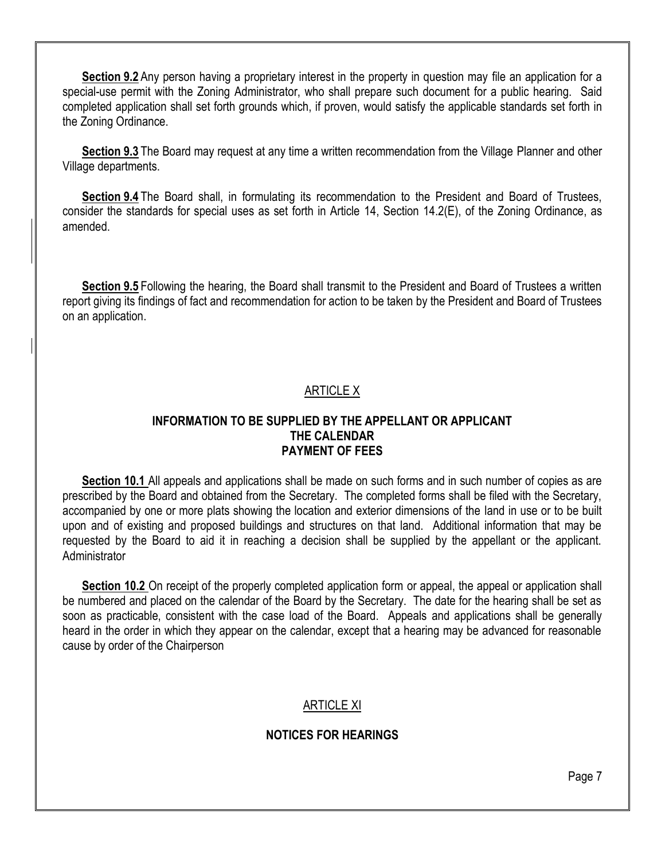**Section 9.2** Any person having a proprietary interest in the property in question may file an application for a special-use permit with the Zoning Administrator, who shall prepare such document for a public hearing. Said completed application shall set forth grounds which, if proven, would satisfy the applicable standards set forth in the Zoning Ordinance.

**Section 9.3** The Board may request at any time a written recommendation from the Village Planner and other Village departments.

**Section 9.4** The Board shall, in formulating its recommendation to the President and Board of Trustees, consider the standards for special uses as set forth in Article 14, Section 14.2(E), of the Zoning Ordinance, as amended.

**Section 9.5** Following the hearing, the Board shall transmit to the President and Board of Trustees a written report giving its findings of fact and recommendation for action to be taken by the President and Board of Trustees on an application.

## ARTICLE X

#### **INFORMATION TO BE SUPPLIED BY THE APPELLANT OR APPLICANT THE CALENDAR PAYMENT OF FEES**

**Section 10.1** All appeals and applications shall be made on such forms and in such number of copies as are prescribed by the Board and obtained from the Secretary. The completed forms shall be filed with the Secretary, accompanied by one or more plats showing the location and exterior dimensions of the land in use or to be built upon and of existing and proposed buildings and structures on that land. Additional information that may be requested by the Board to aid it in reaching a decision shall be supplied by the appellant or the applicant. **Administrator** 

**Section 10.2** On receipt of the properly completed application form or appeal, the appeal or application shall be numbered and placed on the calendar of the Board by the Secretary. The date for the hearing shall be set as soon as practicable, consistent with the case load of the Board. Appeals and applications shall be generally heard in the order in which they appear on the calendar, except that a hearing may be advanced for reasonable cause by order of the Chairperson

## ARTICLE XI

## **NOTICES FOR HEARINGS**

Page 7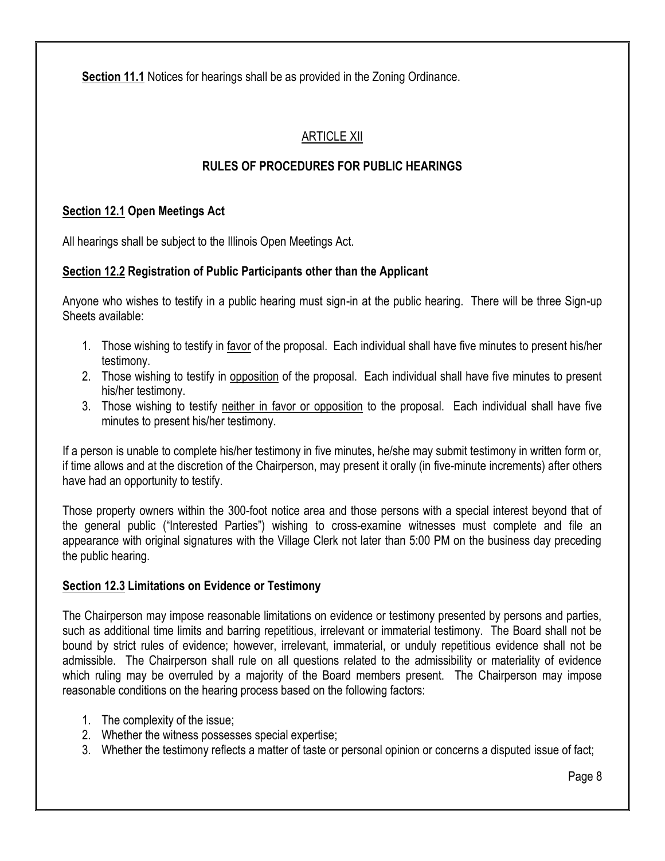**Section 11.1** Notices for hearings shall be as provided in the Zoning Ordinance.

# ARTICLE XII

# **RULES OF PROCEDURES FOR PUBLIC HEARINGS**

## **Section 12.1 Open Meetings Act**

All hearings shall be subject to the Illinois Open Meetings Act.

## **Section 12.2 Registration of Public Participants other than the Applicant**

Anyone who wishes to testify in a public hearing must sign-in at the public hearing. There will be three Sign-up Sheets available:

- 1. Those wishing to testify in favor of the proposal. Each individual shall have five minutes to present his/her testimony.
- 2. Those wishing to testify in opposition of the proposal. Each individual shall have five minutes to present his/her testimony.
- 3. Those wishing to testify neither in favor or opposition to the proposal. Each individual shall have five minutes to present his/her testimony.

If a person is unable to complete his/her testimony in five minutes, he/she may submit testimony in written form or, if time allows and at the discretion of the Chairperson, may present it orally (in five-minute increments) after others have had an opportunity to testify.

Those property owners within the 300-foot notice area and those persons with a special interest beyond that of the general public ("Interested Parties") wishing to cross-examine witnesses must complete and file an appearance with original signatures with the Village Clerk not later than 5:00 PM on the business day preceding the public hearing.

## **Section 12.3 Limitations on Evidence or Testimony**

The Chairperson may impose reasonable limitations on evidence or testimony presented by persons and parties, such as additional time limits and barring repetitious, irrelevant or immaterial testimony. The Board shall not be bound by strict rules of evidence; however, irrelevant, immaterial, or unduly repetitious evidence shall not be admissible. The Chairperson shall rule on all questions related to the admissibility or materiality of evidence which ruling may be overruled by a majority of the Board members present. The Chairperson may impose reasonable conditions on the hearing process based on the following factors:

- 1. The complexity of the issue;
- 2. Whether the witness possesses special expertise;
- 3. Whether the testimony reflects a matter of taste or personal opinion or concerns a disputed issue of fact;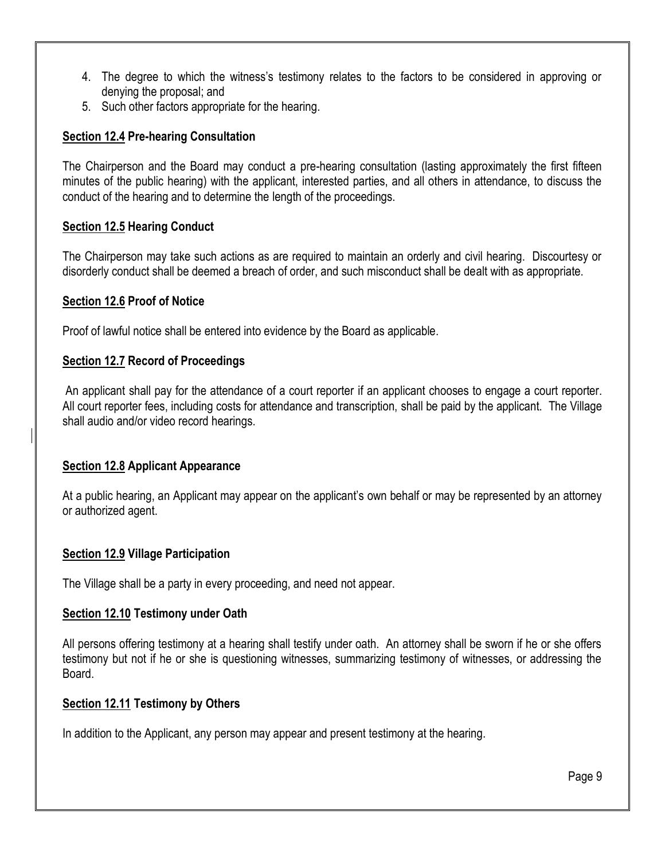- 4. The degree to which the witness's testimony relates to the factors to be considered in approving or denying the proposal; and
- 5. Such other factors appropriate for the hearing.

## **Section 12.4 Pre-hearing Consultation**

The Chairperson and the Board may conduct a pre-hearing consultation (lasting approximately the first fifteen minutes of the public hearing) with the applicant, interested parties, and all others in attendance, to discuss the conduct of the hearing and to determine the length of the proceedings.

## **Section 12.5 Hearing Conduct**

The Chairperson may take such actions as are required to maintain an orderly and civil hearing. Discourtesy or disorderly conduct shall be deemed a breach of order, and such misconduct shall be dealt with as appropriate.

## **Section 12.6 Proof of Notice**

Proof of lawful notice shall be entered into evidence by the Board as applicable.

## **Section 12.7 Record of Proceedings**

An applicant shall pay for the attendance of a court reporter if an applicant chooses to engage a court reporter. All court reporter fees, including costs for attendance and transcription, shall be paid by the applicant. The Village shall audio and/or video record hearings.

#### **Section 12.8 Applicant Appearance**

At a public hearing, an Applicant may appear on the applicant's own behalf or may be represented by an attorney or authorized agent.

## **Section 12.9 Village Participation**

The Village shall be a party in every proceeding, and need not appear.

## **Section 12.10 Testimony under Oath**

All persons offering testimony at a hearing shall testify under oath. An attorney shall be sworn if he or she offers testimony but not if he or she is questioning witnesses, summarizing testimony of witnesses, or addressing the Board.

## **Section 12.11 Testimony by Others**

In addition to the Applicant, any person may appear and present testimony at the hearing.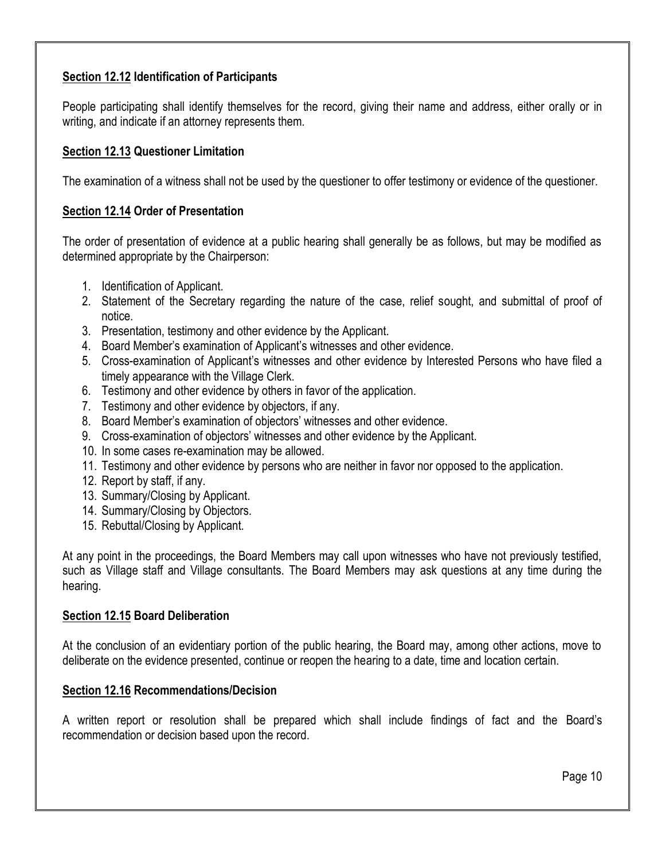## **Section 12.12 Identification of Participants**

People participating shall identify themselves for the record, giving their name and address, either orally or in writing, and indicate if an attorney represents them.

## **Section 12.13 Questioner Limitation**

The examination of a witness shall not be used by the questioner to offer testimony or evidence of the questioner.

## **Section 12.14 Order of Presentation**

The order of presentation of evidence at a public hearing shall generally be as follows, but may be modified as determined appropriate by the Chairperson:

- 1. Identification of Applicant.
- 2. Statement of the Secretary regarding the nature of the case, relief sought, and submittal of proof of notice.
- 3. Presentation, testimony and other evidence by the Applicant.
- 4. Board Member's examination of Applicant's witnesses and other evidence.
- 5. Cross-examination of Applicant's witnesses and other evidence by Interested Persons who have filed a timely appearance with the Village Clerk.
- 6. Testimony and other evidence by others in favor of the application.
- 7. Testimony and other evidence by objectors, if any.
- 8. Board Member's examination of objectors' witnesses and other evidence.
- 9. Cross-examination of objectors' witnesses and other evidence by the Applicant.
- 10. In some cases re-examination may be allowed.
- 11. Testimony and other evidence by persons who are neither in favor nor opposed to the application.
- 12. Report by staff, if any.
- 13. Summary/Closing by Applicant.
- 14. Summary/Closing by Objectors.
- 15. Rebuttal/Closing by Applicant.

At any point in the proceedings, the Board Members may call upon witnesses who have not previously testified, such as Village staff and Village consultants. The Board Members may ask questions at any time during the hearing.

#### **Section 12.15 Board Deliberation**

At the conclusion of an evidentiary portion of the public hearing, the Board may, among other actions, move to deliberate on the evidence presented, continue or reopen the hearing to a date, time and location certain.

## **Section 12.16 Recommendations/Decision**

A written report or resolution shall be prepared which shall include findings of fact and the Board's recommendation or decision based upon the record.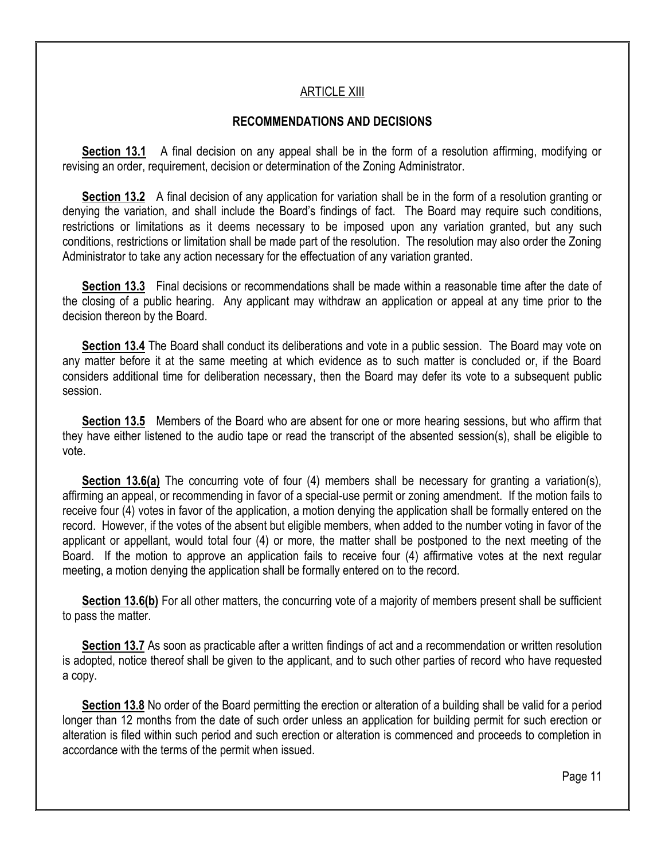## ARTICLE XIII

#### **RECOMMENDATIONS AND DECISIONS**

**Section 13.1** A final decision on any appeal shall be in the form of a resolution affirming, modifying or revising an order, requirement, decision or determination of the Zoning Administrator.

**Section 13.2** A final decision of any application for variation shall be in the form of a resolution granting or denying the variation, and shall include the Board's findings of fact. The Board may require such conditions, restrictions or limitations as it deems necessary to be imposed upon any variation granted, but any such conditions, restrictions or limitation shall be made part of the resolution. The resolution may also order the Zoning Administrator to take any action necessary for the effectuation of any variation granted.

**Section 13.3** Final decisions or recommendations shall be made within a reasonable time after the date of the closing of a public hearing. Any applicant may withdraw an application or appeal at any time prior to the decision thereon by the Board.

**Section 13.4** The Board shall conduct its deliberations and vote in a public session. The Board may vote on any matter before it at the same meeting at which evidence as to such matter is concluded or, if the Board considers additional time for deliberation necessary, then the Board may defer its vote to a subsequent public session.

**Section 13.5** Members of the Board who are absent for one or more hearing sessions, but who affirm that they have either listened to the audio tape or read the transcript of the absented session(s), shall be eligible to vote.

**Section 13.6(a)** The concurring vote of four (4) members shall be necessary for granting a variation(s), affirming an appeal, or recommending in favor of a special-use permit or zoning amendment. If the motion fails to receive four (4) votes in favor of the application, a motion denying the application shall be formally entered on the record. However, if the votes of the absent but eligible members, when added to the number voting in favor of the applicant or appellant, would total four (4) or more, the matter shall be postponed to the next meeting of the Board. If the motion to approve an application fails to receive four (4) affirmative votes at the next regular meeting, a motion denying the application shall be formally entered on to the record.

**Section 13.6(b)** For all other matters, the concurring vote of a majority of members present shall be sufficient to pass the matter.

**Section 13.7** As soon as practicable after a written findings of act and a recommendation or written resolution is adopted, notice thereof shall be given to the applicant, and to such other parties of record who have requested a copy.

**Section 13.8** No order of the Board permitting the erection or alteration of a building shall be valid for a period longer than 12 months from the date of such order unless an application for building permit for such erection or alteration is filed within such period and such erection or alteration is commenced and proceeds to completion in accordance with the terms of the permit when issued.

Page 11